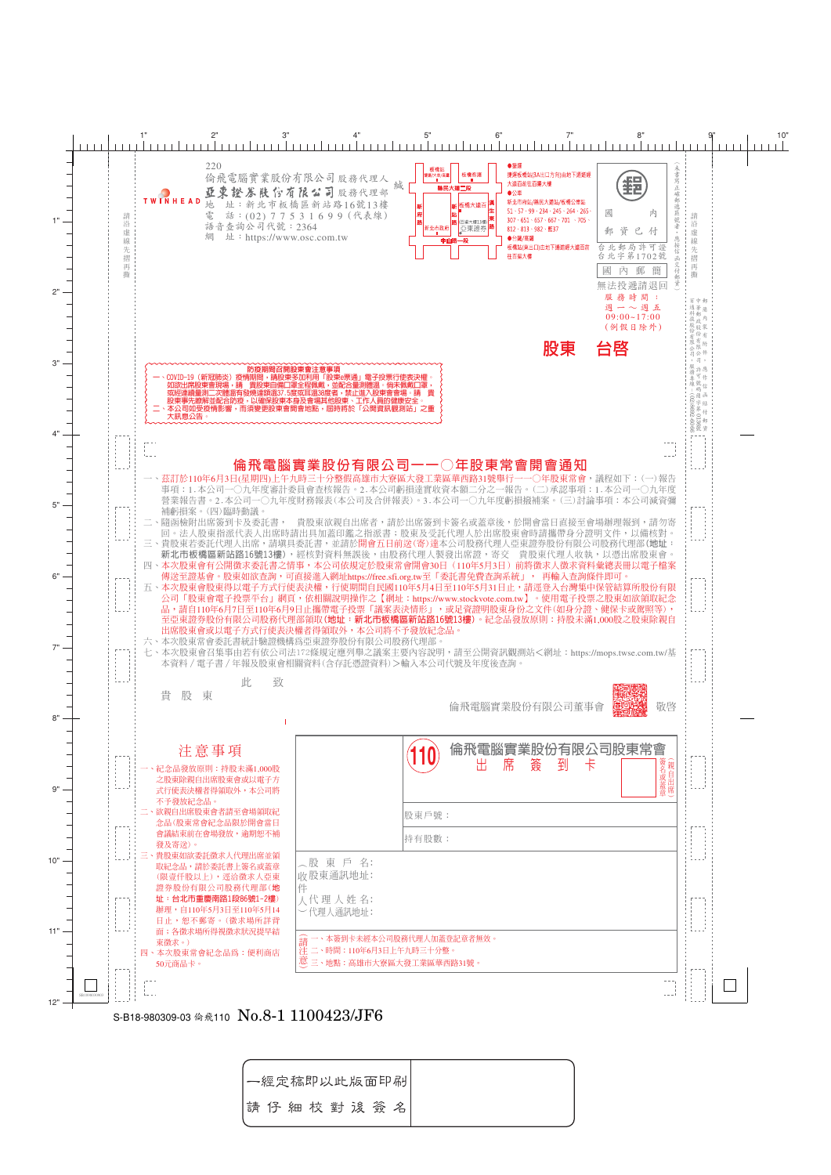